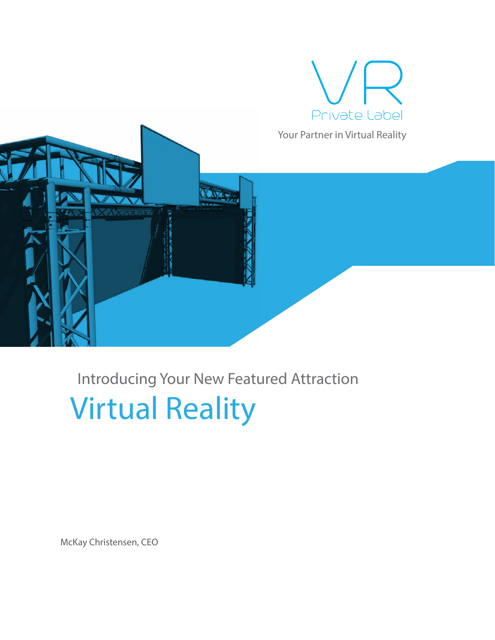

*Your Partner in Virtual Reality*



# Introducing Your New Featured Attraction Virtual Reality

McKay Christensen, CEO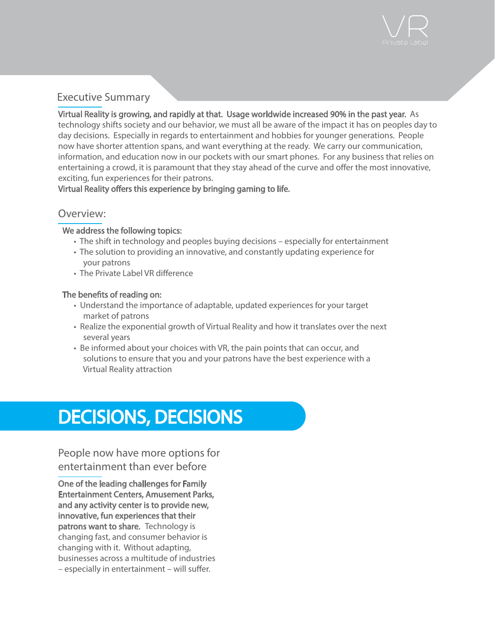

### Executive Summary

Virtual Reality is growing, and rapidly at that. Usage worldwide increased 90% in the past year. As technology shifts society and our behavior, we must all be aware of the impact it has on peoples day to day decisions. Especially in regards to entertainment and hobbies for younger generations. People now have shorter attention spans, and want everything at the ready. We carry our communication, information, and education now in our pockets with our smart phones. For any business that relies on entertaining a crowd, it is paramount that they stay ahead of the curve and offer the most innovative, exciting, fun experiences for their patrons.

Virtual Reality offers this experience by bringing gaming to life.

#### Overview:

#### We address the following topics:

- The shift in technology and peoples buying decisions especially for entertainment
- The solution to providing an innovative, and constantly updating experience for your patrons
- The Private Label VR difference

#### The benefits of reading on:

- Understand the importance of adaptable, updated experiences for your target market of patrons
- Realize the exponential growth of Virtual Reality and how it translates over the next several years
- Be informed about your choices with VR, the pain points that can occur, and solutions to ensure that you and your patrons have the best experience with a Virtual Reality attraction

# DECISIONS, DECISIONS

People now have more options for entertainment than ever before

One of the leading challenges for Family Entertainment Centers, Amusement Parks, and any activity center is to provide new, innovative, fun experiences that their patrons want to share. Technology is changing fast, and consumer behavior is changing with it. Without adapting, businesses across a multitude of industries  $-$  especially in entertainment – will suffer.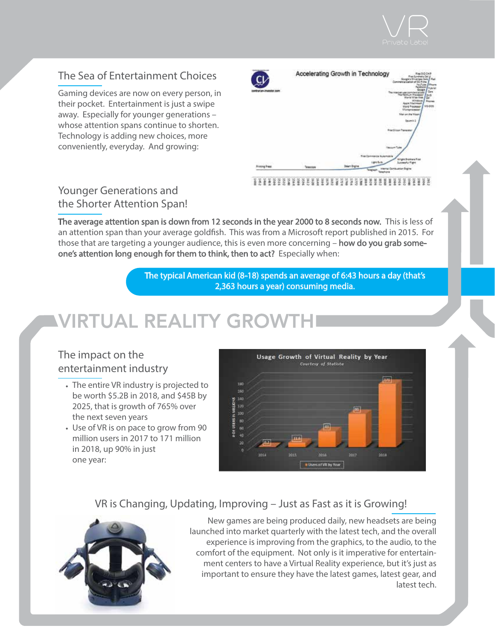

## The Sea of Entertainment Choices

Gaming devices are now on every person, in their pocket. Entertainment is just a swipe away. Especially for younger generations – whose attention spans continue to shorten. Technology is adding new choices, more conveniently, everyday. And growing:

| <b><i><u>GRAND SHARA</u></i></b><br>C $\mathcal V$<br><b>N. Photostor, CAV</b> |           | Accelerating Growth in Technology<br><b>Right SID CHR</b><br>Pad<br>Commercializet<br>Widerid<br>Gen.<br><br>thit<br><b>NOVING</b><br><b>Gair</b><br><b>ISHOWA</b><br><b>Pageas</b><br><b>Apple Madinisaph</b><br>MEGGE<br>tions Processor<br><b><i><u>UTamentowean</u></i></b><br>Manuel the Meet.<br>Incents 1<br><b><i><u>Franklings</u></i></b> Transamer |
|--------------------------------------------------------------------------------|-----------|---------------------------------------------------------------------------------------------------------------------------------------------------------------------------------------------------------------------------------------------------------------------------------------------------------------------------------------------------------------|
| <b><i>SING IT WAS</i></b>                                                      | Telephone | Commercial Automobile<br>ges Systems from<br>Lightfield<br><b>Literature Audi Principal</b><br><b>Steam Sngine</b><br>Combuston<br>Teagraph<br>Telephone                                                                                                                                                                                                      |

## Younger Generations and the Shorter Attention Span!

The average attention span is down from 12 seconds in the year 2000 to 8 seconds now. This is less of an attention span than your average goldfish. This was from a Microsoft report published in 2015. For those that are targeting a younger audience, this is even more concerning – how do you grab someone's attention long enough for them to think, then to act? Especially when:

> The typical American kid (8-18) spends an average of 6:43 hours a day (that's 2,363 hours a year) consuming media.

# **VIRTUAL REALITY GROWTH**

### The impact on the entertainment industry

- The entire VR industry is projected to be worth \$5.2B in 2018, and \$45B by 2025, that is growth of 765% over the next seven years
- Use of VR is on pace to grow from 90 million users in 2017 to 171 million in 2018, up 90% in just one year:



### VR is Changing, Updating, Improving – Just as Fast as it is Growing!



New games are being produced daily, new headsets are being launched into market quarterly with the latest tech, and the overall experience is improving from the graphics, to the audio, to the comfort of the equipment. Not only is it imperative for entertainment centers to have a Virtual Reality experience, but it's just as important to ensure they have the latest games, latest gear, and latest tech.